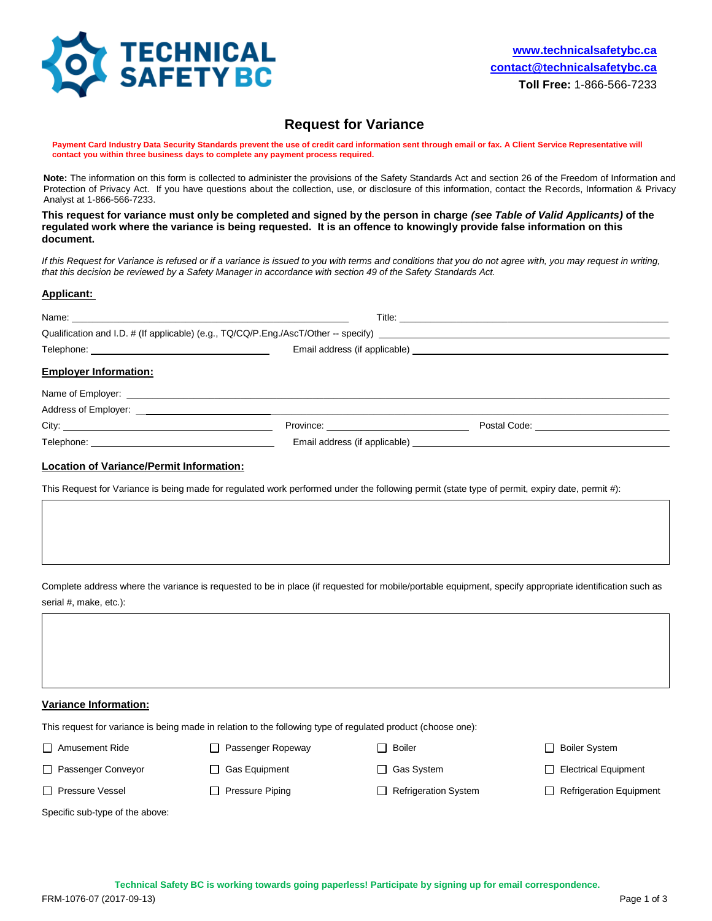

# **Request for Variance**

Payment Card Industry Data Security Standards prevent the use of credit card information sent through email or fax. A Client Service Representative will **contact you within three business days to complete any payment process required.** 

**Note:** The information on this form is collected to administer the provisions of the Safety Standards Act and section 26 of the Freedom of Information and Protection of Privacy Act. If you have questions about the collection, use, or disclosure of this information, contact the Records, Information & Privacy Analyst at 1-866-566-7233.

**This request for variance must only be completed and signed by the person in charge** *(see Table of Valid Applicants)* **of the regulated work where the variance is being requested. It is an offence to knowingly provide false information on this document.**

If this Request for Variance is refused or if a variance is issued to you with terms and conditions that you do not agree with, you may request in writing, *that this decision be reviewed by a Safety Manager in accordance with section 49 of the Safety Standards Act.*

### **Applicant:**

| <b>Employer Information:</b> |                                                 |  |
|------------------------------|-------------------------------------------------|--|
|                              |                                                 |  |
|                              |                                                 |  |
|                              | Province: <u>______________________________</u> |  |
|                              |                                                 |  |

### **Location of Variance/Permit Information:**

This Request for Variance is being made for regulated work performed under the following permit (state type of permit, expiry date, permit #):

Complete address where the variance is requested to be in place (if requested for mobile/portable equipment, specify appropriate identification such as serial #, make, etc.):

#### **Variance Information:**

This request for variance is being made in relation to the following type of regulated product (choose one):

□ Amusement Ride □ Passenger Ropeway □ Boiler Boiler System

□ Passenger Conveyor □ Gas Equipment □ Gas System □ Gas System □ Electrical Equipment

□ Pressure Vessel □ Pressure Piping □ Refrigeration System □ Refrigeration Equipment

Specific sub-type of the above: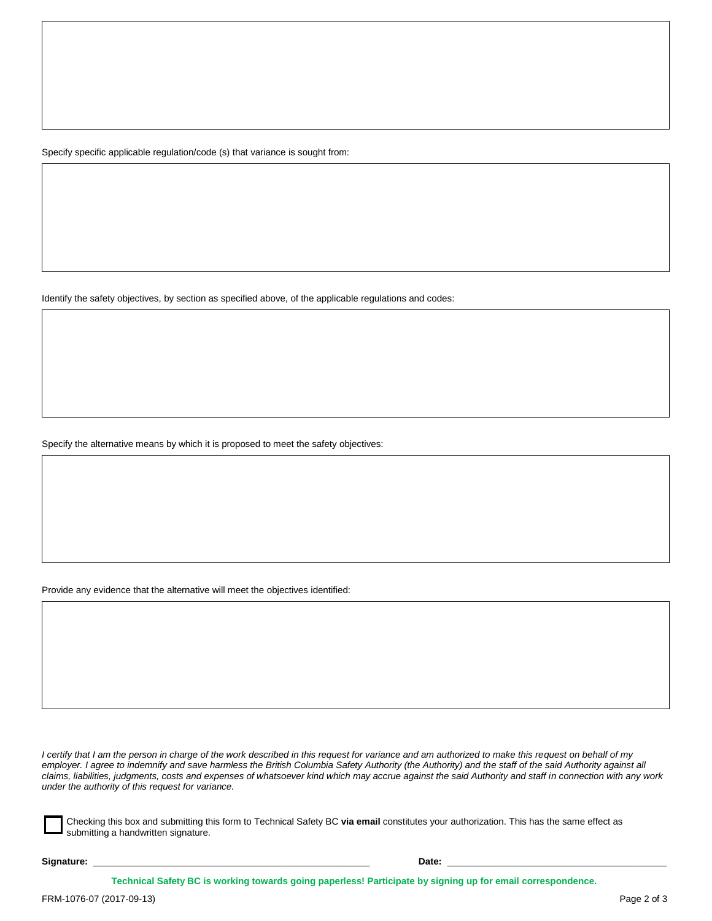Specify specific applicable regulation/code (s) that variance is sought from:

Identify the safety objectives, by section as specified above, of the applicable regulations and codes:

Specify the alternative means by which it is proposed to meet the safety objectives:

Provide any evidence that the alternative will meet the objectives identified:

*I certify that I am the person in charge of the work described in this request for variance and am authorized to make this request on behalf of my employer. I agree to indemnify and save harmless the British Columbia Safety Authority (the Authority) and the staff of the said Authority against all claims, liabilities, judgments, costs and expenses of whatsoever kind which may accrue against the said Authority and staff in connection with any work under the authority of this request for variance.*

Checking this box and submitting this form to Technical Safety BC **via email** constitutes your authorization. This has the same effect as submitting a handwritten signature.

**Signature:** \_\_\_\_\_\_\_\_\_\_\_\_\_\_\_\_\_\_\_\_\_\_\_\_\_ \_\_\_\_\_\_\_\_\_\_\_ \_\_\_\_\_\_ **Date:** \_\_\_\_\_\_\_\_\_ \_\_\_\_\_\_\_\_\_\_\_\_\_\_\_\_\_\_\_\_\_\_\_\_\_\_\_\_